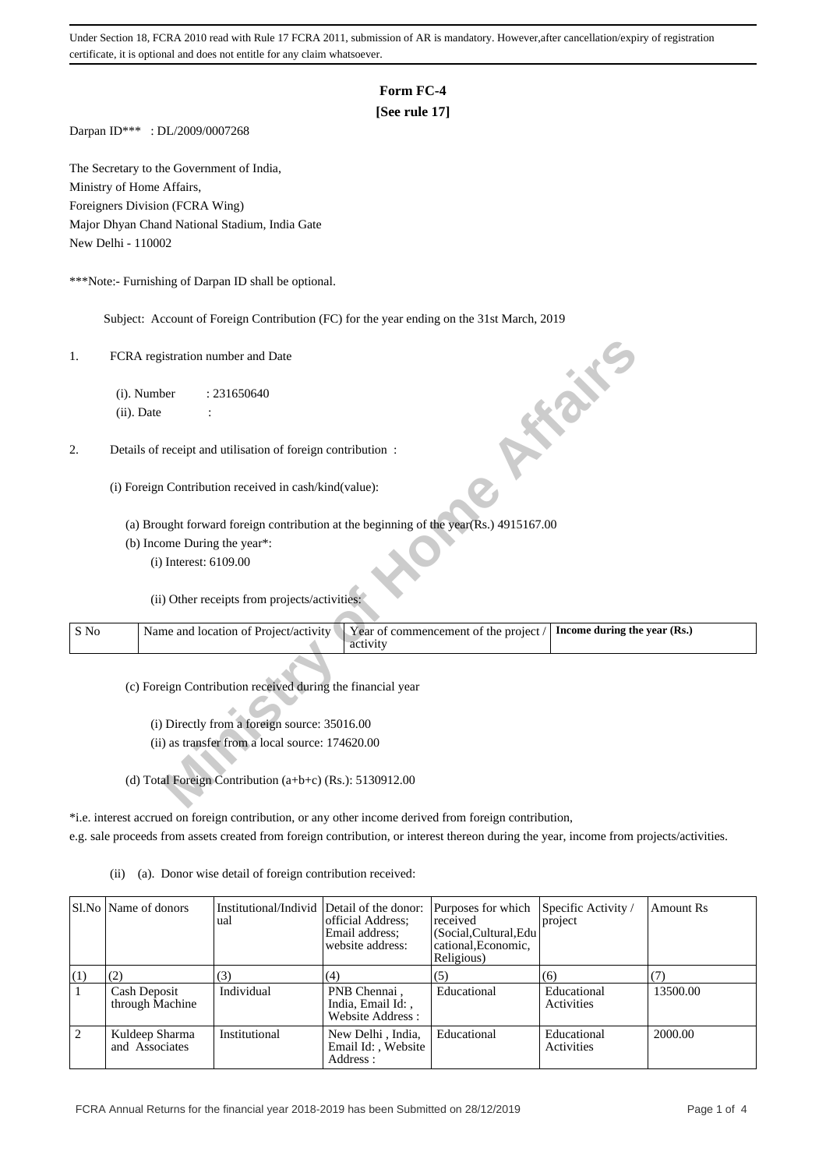# **Form FC-4**

## **[See rule 17]**

Darpan ID\*\*\* : DL/2009/0007268

The Secretary to the Government of India, Ministry of Home Affairs, Foreigners Division (FCRA Wing) Major Dhyan Chand National Stadium, India Gate New Delhi - 110002

\*\*\*Note:- Furnishing of Darpan ID shall be optional.

Subject: Account of Foreign Contribution (FC) for the year ending on the 31st March, 2019

- (b) Income During the year\*:
	- (i) Interest: 6109.00

| 1.   | FCRA registration number and Date                                                                                          |
|------|----------------------------------------------------------------------------------------------------------------------------|
|      | (i). Number<br>: 231650640                                                                                                 |
|      | ish.<br>(ii). Date                                                                                                         |
| 2.   | Details of receipt and utilisation of foreign contribution :                                                               |
|      | (i) Foreign Contribution received in cash/kind(value):                                                                     |
|      | (a) Brought forward foreign contribution at the beginning of the year(Rs.) 4915167.00                                      |
|      | (b) Income During the year*:                                                                                               |
|      | (i) Interest: 6109.00                                                                                                      |
|      | (ii) Other receipts from projects/activities:                                                                              |
| S No | Year of commencement of the project /<br>Name and location of Project/activity<br>Income during the year (Rs.)<br>activity |
|      | (c) Foreign Contribution received during the financial year                                                                |
|      | (i) Directly from a foreign source: 35016.00                                                                               |
|      | (ii) as transfer from a local source: 174620.00                                                                            |
|      |                                                                                                                            |
|      | (d) Total Foreign Contribution (a+b+c) (Rs.): 5130912.00                                                                   |

\*i.e. interest accrued on foreign contribution, or any other income derived from foreign contribution, e.g. sale proceeds from assets created from foreign contribution, or interest thereon during the year, income from projects/activities.

- - (ii) (a). Donor wise detail of foreign contribution received:

|                | SI.No Name of donors             | Institutional/Individ Detail of the donor:<br>ual | official Address:<br>Email address:<br>website address: | Purposes for which<br>received<br>(Social, Cultural, Edu<br>cational, Economic,<br>Religious) | Specific Activity /<br>project | <b>Amount Rs</b> |
|----------------|----------------------------------|---------------------------------------------------|---------------------------------------------------------|-----------------------------------------------------------------------------------------------|--------------------------------|------------------|
| (1)            | (2)                              | (3)                                               | (4)                                                     | (5)                                                                                           | (6)                            |                  |
| $\overline{1}$ | Cash Deposit<br>through Machine  | Individual                                        | PNB Chennai,<br>India, Email Id:,<br>Website Address:   | Educational                                                                                   | Educational<br>Activities      | 13500.00         |
| 2              | Kuldeep Sharma<br>and Associates | Institutional                                     | New Delhi, India,<br>Email Id:, Website<br>Address :    | Educational                                                                                   | Educational<br>Activities      | 2000.00          |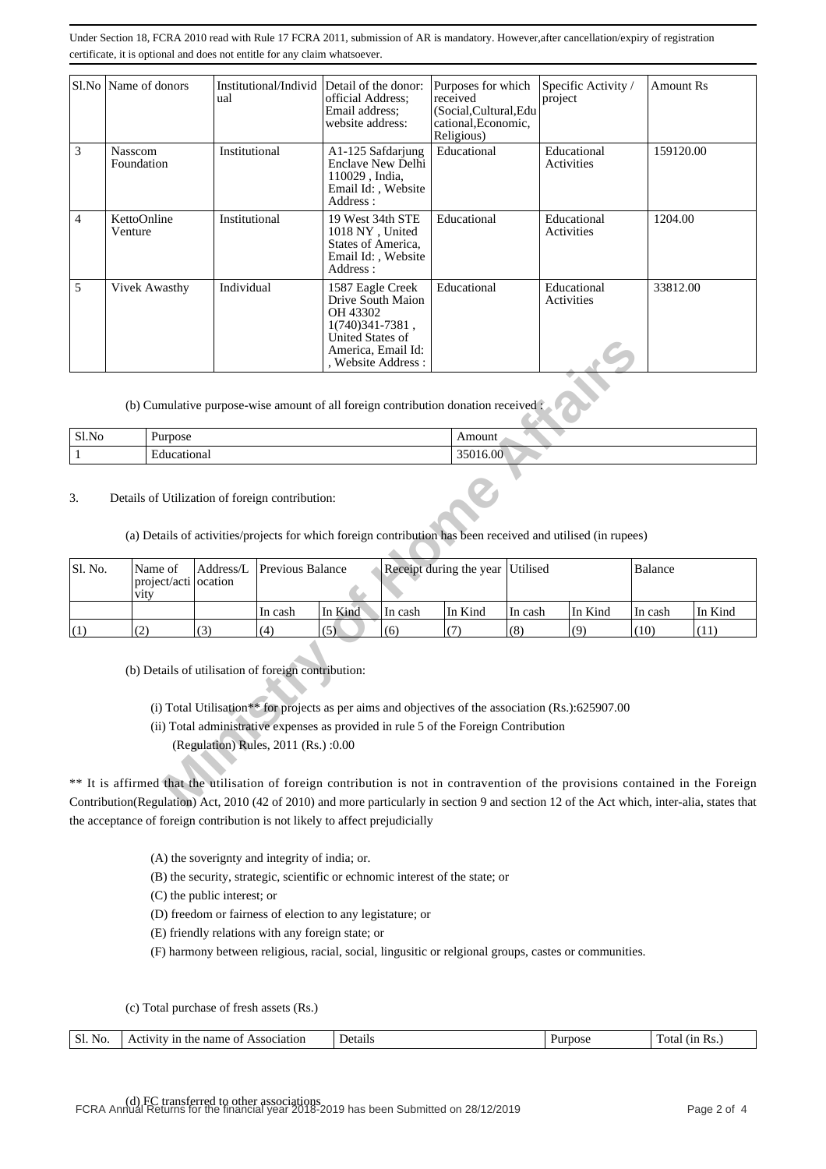|   | Sl.No   Name of donors | Institutional/Individ Detail of the donor:<br>ual | official Address:<br>Email address:<br>website address:                                                                                  | Purposes for which<br>received<br>(Social, Cultural, Edu<br>cational, Economic,<br>Religious) | Specific Activity /<br>project | <b>Amount Rs</b> |
|---|------------------------|---------------------------------------------------|------------------------------------------------------------------------------------------------------------------------------------------|-----------------------------------------------------------------------------------------------|--------------------------------|------------------|
| 3 | Nasscom<br>Foundation  | Institutional                                     | A1-125 Safdarjung<br>Enclave New Delhi<br>110029, India,<br>Email Id:, Website<br>Address:                                               | Educational                                                                                   | Educational<br>Activities      | 159120.00        |
| 4 | KettoOnline<br>Venture | Institutional                                     | 19 West 34th STE<br>1018 NY, United<br>States of America,<br>Email Id:, Website<br>Address:                                              | Educational                                                                                   | Educational<br>Activities      | 1204.00          |
| 5 | Vivek Awasthy          | Individual                                        | 1587 Eagle Creek<br>Drive South Maion<br>OH 43302<br>1(740) 341 - 7381,<br>United States of<br>America, Email Id:<br>, Website Address : | Educational                                                                                   | Educational<br>Activities      | 33812.00         |

| Sl.No | Purpose                       | --- ----<br>поции<br>------- |
|-------|-------------------------------|------------------------------|
|       | $\sim$ 0.43 $\sim$<br>ona<br> | 6.00                         |

#### 3. Details of Utilization of foreign contribution:

|                            |                                                                                                                                             |                                                                                                                                                                                                                                                                                           |                         | UIIIteu plates 01<br>America, Email Id: | , Website Address:                  |          |         |                |         |         |
|----------------------------|---------------------------------------------------------------------------------------------------------------------------------------------|-------------------------------------------------------------------------------------------------------------------------------------------------------------------------------------------------------------------------------------------------------------------------------------------|-------------------------|-----------------------------------------|-------------------------------------|----------|---------|----------------|---------|---------|
|                            |                                                                                                                                             | (b) Cumulative purpose-wise amount of all foreign contribution donation received                                                                                                                                                                                                          |                         |                                         |                                     |          |         |                |         |         |
| Sl.No<br>Purpose<br>Amount |                                                                                                                                             |                                                                                                                                                                                                                                                                                           |                         |                                         |                                     |          |         |                |         |         |
| $\mathbf{1}$               | Educational                                                                                                                                 |                                                                                                                                                                                                                                                                                           |                         |                                         |                                     | 35016.00 |         |                |         |         |
| 3.                         | Details of Utilization of foreign contribution:                                                                                             | (a) Details of activities/projects for which foreign contribution has been received and utilised (in rupees)                                                                                                                                                                              |                         |                                         |                                     |          |         |                |         |         |
| Sl. No.                    | Name of<br>project/acti ocation<br>vity                                                                                                     | Address/L                                                                                                                                                                                                                                                                                 | <b>Previous Balance</b> |                                         | Receipt during the year<br>Utilised |          |         | <b>Balance</b> |         |         |
|                            |                                                                                                                                             |                                                                                                                                                                                                                                                                                           | In cash                 | In Kind                                 | In cash                             | In Kind  | In cash | In Kind        | In cash | In Kind |
| (1)                        | (2)                                                                                                                                         | (3)                                                                                                                                                                                                                                                                                       | (4)                     | (5)                                     | (6)                                 | (7)      | (8)     | (9)            | (10)    | (11)    |
|                            | ** It is affirmed that the utilisation of foreign contribution is not in contravention of the provisions contained in the Foreign           | (b) Details of utilisation of foreign contribution:<br>(i) Total Utilisation** for projects as per aims and objectives of the association (Rs.):625907.00<br>(ii) Total administrative expenses as provided in rule 5 of the Foreign Contribution<br>(Regulation) Rules, 2011 (Rs.) :0.00 |                         |                                         |                                     |          |         |                |         |         |
|                            |                                                                                                                                             |                                                                                                                                                                                                                                                                                           |                         |                                         |                                     |          |         |                |         |         |
|                            | Contribution(Regulation) Act, 2010 (42 of 2010) and more particularly in section 9 and section 12 of the Act which, inter-alia, states that |                                                                                                                                                                                                                                                                                           |                         |                                         |                                     |          |         |                |         |         |

\*\* It is affirmed that the utilisation of foreign contribution is not in contravention of the provisions contained in the Foreign Contribution(Regulation) Act, 2010 (42 of 2010) and more particularly in section 9 and section 12 of the Act which, inter-alia, states that the acceptance of foreign contribution is not likely to affect prejudicially

(A) the soverignty and integrity of india; or.

(B) the security, strategic, scientific or echnomic interest of the state; or

(C) the public interest; or

(D) freedom or fairness of election to any legistature; or

(E) friendly relations with any foreign state; or

(F) harmony between religious, racial, social, lingusitic or relgional groups, castes or communities.

(c) Total purchase of fresh assets (Rs.)

| --<br>$\sim$<br>No.<br>OI. | $\pm$ now<br>Association<br>0t<br>tne<br>ın<br>name<br>AVIU | Details | .<br>nose | วtล<br>v.<br>(11)<br>INS. |
|----------------------------|-------------------------------------------------------------|---------|-----------|---------------------------|
|----------------------------|-------------------------------------------------------------|---------|-----------|---------------------------|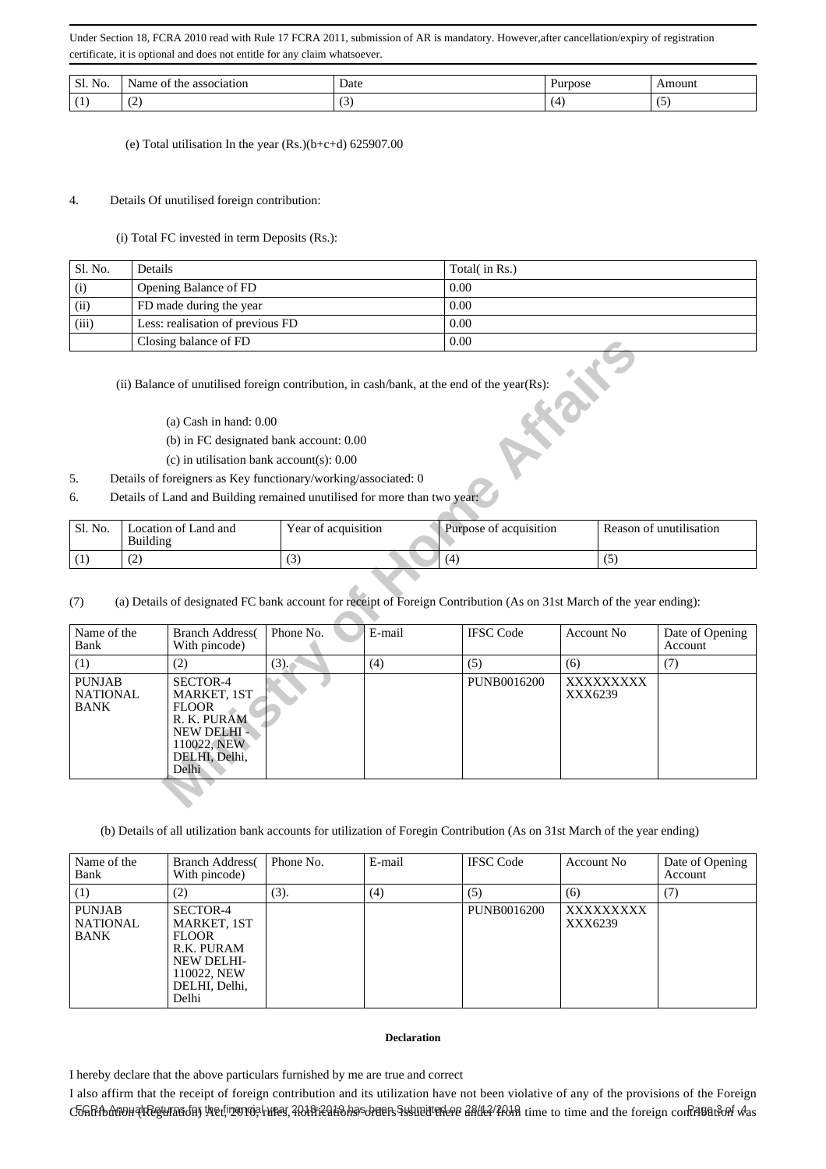| -SI.<br>NG | .Nar<br>*he.<br>000<br>ור<br>. | Date<br>. |   | noun       |
|------------|--------------------------------|-----------|---|------------|
|            | $\overline{\phantom{0}}$       |           | - | ۔ ،<br>. . |

(e) Total utilisation In the year (Rs.)(b+c+d) 625907.00

## 4. Details Of unutilised foreign contribution:

(i) Total FC invested in term Deposits (Rs.):

| Sl. No. | Details                          | Total( in Rs.) |
|---------|----------------------------------|----------------|
| (i)     | Opening Balance of FD            | 0.00           |
| (ii)    | FD made during the year          | 0.00           |
| (iii)   | Less: realisation of previous FD | 0.00           |
|         | Closing balance of FD            | 0.00           |

- (a) Cash in hand: 0.00
- (b) in FC designated bank account: 0.00
- (c) in utilisation bank account(s): 0.00
- 5. Details of foreigners as Key functionary/working/associated: 0
- 6. Details of Land and Building remained unutilised for more than two year:

| Sl. No. | Location of Land and<br>Building | Year of acquisition | Purpose of acquisition | Reason of unutilisation |
|---------|----------------------------------|---------------------|------------------------|-------------------------|
|         | $\overline{\phantom{0}}$         | ت                   | ۰4                     |                         |

|                                                 |                                                                          | Closing balance of FD                                                                                          |                     | 0.00   |                                                                                                                      |                      |     |                            |  |  |
|-------------------------------------------------|--------------------------------------------------------------------------|----------------------------------------------------------------------------------------------------------------|---------------------|--------|----------------------------------------------------------------------------------------------------------------------|----------------------|-----|----------------------------|--|--|
|                                                 |                                                                          |                                                                                                                |                     |        | (ii) Balance of unutilised foreign contribution, in cash/bank, at the end of the year(Rs):                           |                      |     |                            |  |  |
|                                                 |                                                                          | $(a)$ Cash in hand: $0.00$                                                                                     |                     |        |                                                                                                                      |                      |     |                            |  |  |
|                                                 |                                                                          | (b) in FC designated bank account: 0.00                                                                        |                     |        |                                                                                                                      |                      |     |                            |  |  |
|                                                 |                                                                          | (c) in utilisation bank account(s): $0.00$                                                                     |                     |        |                                                                                                                      |                      |     |                            |  |  |
| 5.                                              |                                                                          | Details of foreigners as Key functionary/working/associated: 0                                                 |                     |        |                                                                                                                      |                      |     |                            |  |  |
| 6.                                              | Details of Land and Building remained unutilised for more than two year: |                                                                                                                |                     |        |                                                                                                                      |                      |     |                            |  |  |
| Sl. No.                                         |                                                                          | Location of Land and                                                                                           | Year of acquisition |        | Purpose of acquisition                                                                                               |                      |     | Reason of unutilisation    |  |  |
|                                                 | <b>Building</b>                                                          |                                                                                                                |                     |        |                                                                                                                      |                      |     |                            |  |  |
| (1)                                             | (2)                                                                      |                                                                                                                | (3)                 | (4)    |                                                                                                                      |                      | (5) |                            |  |  |
| (7)                                             |                                                                          |                                                                                                                |                     |        | (a) Details of designated FC bank account for receipt of Foreign Contribution (As on 31st March of the year ending): |                      |     |                            |  |  |
| Name of the<br>Bank                             |                                                                          | <b>Branch Address</b><br>With pincode)                                                                         | Phone No.           | E-mail | <b>IFSC Code</b>                                                                                                     | <b>Account No</b>    |     | Date of Opening<br>Account |  |  |
| (1)                                             |                                                                          | (2)                                                                                                            | $(3)$ .             | (4)    | (5)                                                                                                                  | (6)                  |     | (7)                        |  |  |
| <b>PUNJAB</b><br><b>NATIONAL</b><br><b>BANK</b> |                                                                          | SECTOR-4<br>MARKET, 1ST<br><b>FLOOR</b><br>R. K. PURAM<br>NEW DELHI -<br>110022, NEW<br>DELHI, Delhi,<br>Delhi |                     |        | PUNB0016200                                                                                                          | XXXXXXXXX<br>XXX6239 |     |                            |  |  |
|                                                 |                                                                          |                                                                                                                |                     |        |                                                                                                                      |                      |     |                            |  |  |

(b) Details of all utilization bank accounts for utilization of Foregin Contribution (As on 31st March of the year ending)

| Name of the<br>Bank                      | <b>Branch Address</b><br>With pincode)                                                                       | Phone No. | E-mail | <b>IFSC</b> Code | Account No           | Date of Opening<br>Account |
|------------------------------------------|--------------------------------------------------------------------------------------------------------------|-----------|--------|------------------|----------------------|----------------------------|
| (1)                                      | (2)                                                                                                          | (3).      | (4)    | (5)              | (6)                  | (7)                        |
| <b>PUNJAB</b><br><b>NATIONAL</b><br>BANK | SECTOR-4<br>MARKET, 1ST<br><b>FLOOR</b><br>R.K. PURAM<br>NEW DELHI-<br>110022. NEW<br>DELHI, Delhi,<br>Delhi |           |        | PUNB0016200      | XXXXXXXXX<br>XXX6239 |                            |

### **Declaration**

I hereby declare that the above particulars furnished by me are true and correct

I also affirm that the receipt of foreign contribution and its utilization have not been violative of any of the provisions of the Foreign C&RfbdtBoHPlRegluTasday hetfrønvel utes, AblireatBhs©dreetsSulteithere afdtA/Abin time to time and the foreign confrientBoh was